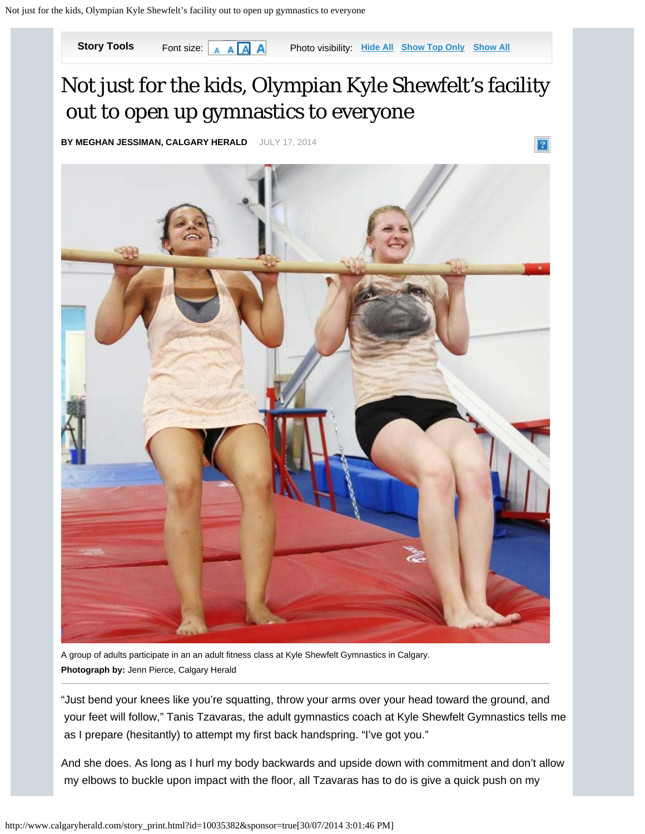

A group of adults participate in an an adult fitness class at Kyle Shewfelt Gymnastics in Calgary. **Photograph by:** Jenn Pierce, Calgary Herald

"Just bend your knees like you're squatting, throw your arms over your head toward the ground, and your feet will follow," Tanis Tzavaras, the adult gymnastics coach at Kyle Shewfelt Gymnastics tells me as I prepare (hesitantly) to attempt my first back handspring. "I've got you."

And she does. As long as I hurl my body backwards and upside down with commitment and don't allow my elbows to buckle upon impact with the floor, all Tzavaras has to do is give a quick push on my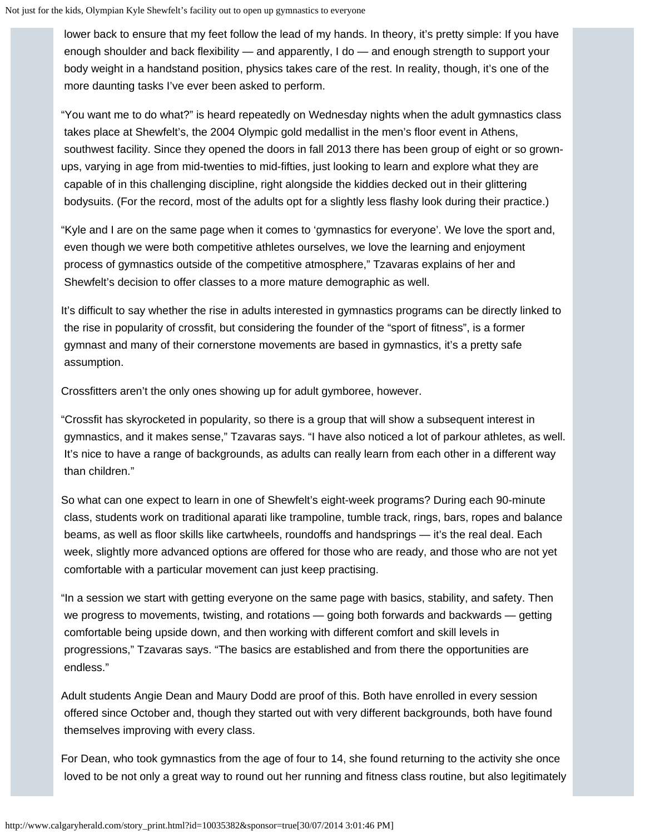lower back to ensure that my feet follow the lead of my hands. In theory, it's pretty simple: If you have enough shoulder and back flexibility — and apparently, I do — and enough strength to support your body weight in a handstand position, physics takes care of the rest. In reality, though, it's one of the more daunting tasks I've ever been asked to perform.

"You want me to do what?" is heard repeatedly on Wednesday nights when the adult gymnastics class takes place at Shewfelt's, the 2004 Olympic gold medallist in the men's floor event in Athens, southwest facility. Since they opened the doors in fall 2013 there has been group of eight or so grownups, varying in age from mid-twenties to mid-fifties, just looking to learn and explore what they are capable of in this challenging discipline, right alongside the kiddies decked out in their glittering bodysuits. (For the record, most of the adults opt for a slightly less flashy look during their practice.)

"Kyle and I are on the same page when it comes to 'gymnastics for everyone'. We love the sport and, even though we were both competitive athletes ourselves, we love the learning and enjoyment process of gymnastics outside of the competitive atmosphere," Tzavaras explains of her and Shewfelt's decision to offer classes to a more mature demographic as well.

It's difficult to say whether the rise in adults interested in gymnastics programs can be directly linked to the rise in popularity of crossfit, but considering the founder of the "sport of fitness", is a former gymnast and many of their cornerstone movements are based in gymnastics, it's a pretty safe assumption.

Crossfitters aren't the only ones showing up for adult gymboree, however.

"Crossfit has skyrocketed in popularity, so there is a group that will show a subsequent interest in gymnastics, and it makes sense," Tzavaras says. "I have also noticed a lot of parkour athletes, as well. It's nice to have a range of backgrounds, as adults can really learn from each other in a different way than children."

So what can one expect to learn in one of Shewfelt's eight-week programs? During each 90-minute class, students work on traditional aparati like trampoline, tumble track, rings, bars, ropes and balance beams, as well as floor skills like cartwheels, roundoffs and handsprings — it's the real deal. Each week, slightly more advanced options are offered for those who are ready, and those who are not yet comfortable with a particular movement can just keep practising.

"In a session we start with getting everyone on the same page with basics, stability, and safety. Then we progress to movements, twisting, and rotations — going both forwards and backwards — getting comfortable being upside down, and then working with different comfort and skill levels in progressions," Tzavaras says. "The basics are established and from there the opportunities are endless."

Adult students Angie Dean and Maury Dodd are proof of this. Both have enrolled in every session offered since October and, though they started out with very different backgrounds, both have found themselves improving with every class.

For Dean, who took gymnastics from the age of four to 14, she found returning to the activity she once loved to be not only a great way to round out her running and fitness class routine, but also legitimately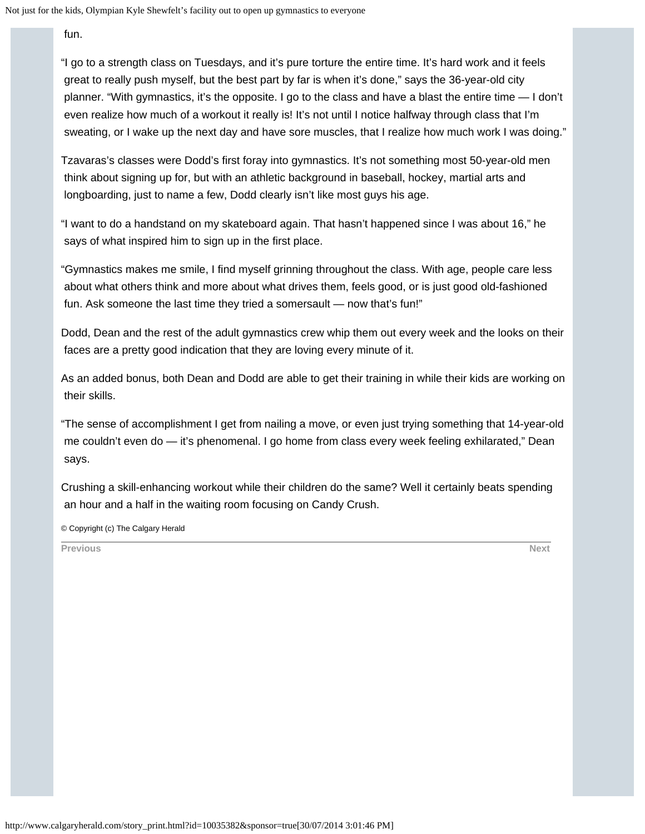fun.

"I go to a strength class on Tuesdays, and it's pure torture the entire time. It's hard work and it feels great to really push myself, but the best part by far is when it's done," says the 36-year-old city planner. "With gymnastics, it's the opposite. I go to the class and have a blast the entire time — I don't even realize how much of a workout it really is! It's not until I notice halfway through class that I'm sweating, or I wake up the next day and have sore muscles, that I realize how much work I was doing."

Tzavaras's classes were Dodd's first foray into gymnastics. It's not something most 50-year-old men think about signing up for, but with an athletic background in baseball, hockey, martial arts and longboarding, just to name a few, Dodd clearly isn't like most guys his age.

"I want to do a handstand on my skateboard again. That hasn't happened since I was about 16," he says of what inspired him to sign up in the first place.

"Gymnastics makes me smile, I find myself grinning throughout the class. With age, people care less about what others think and more about what drives them, feels good, or is just good old-fashioned fun. Ask someone the last time they tried a somersault — now that's fun!"

Dodd, Dean and the rest of the adult gymnastics crew whip them out every week and the looks on their faces are a pretty good indication that they are loving every minute of it.

As an added bonus, both Dean and Dodd are able to get their training in while their kids are working on their skills.

"The sense of accomplishment I get from nailing a move, or even just trying something that 14-year-old me couldn't even do — it's phenomenal. I go home from class every week feeling exhilarated," Dean says.

Crushing a skill-enhancing workout while their children do the same? Well it certainly beats spending an hour and a half in the waiting room focusing on Candy Crush.

© Copyright (c) The Calgary Herald

**[Previous](javascript:viewPhoto(8,8,) [Next](javascript:viewPhoto(2,8,)**